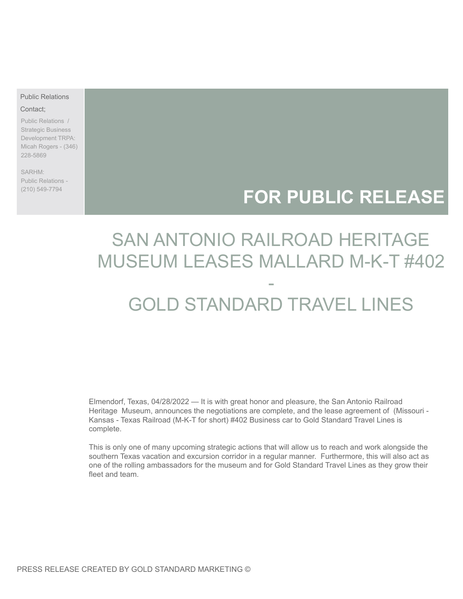### Public Relations

#### Contact;

Public Relations / Strategic Business Development TRPA: Micah Rogers - (346) 228-5869

SARHM: Public Relations - (210) 549-7794

## **FOR PUBLIC RELEASE**

# SAN ANTONIO RAILROAD HERITAGE MUSEUM LEASES MALLARD M-K-T #402 -

# GOLD STANDARD TRAVEL LINES

Elmendorf, Texas, 04/28/2022 — It is with great honor and pleasure, the San Antonio Railroad Heritage Museum, announces the negotiations are complete, and the lease agreement of (Missouri - Kansas - Texas Railroad (M-K-T for short) #402 Business car to Gold Standard Travel Lines is complete.

This is only one of many upcoming strategic actions that will allow us to reach and work alongside the southern Texas vacation and excursion corridor in a regular manner. Furthermore, this will also act as one of the rolling ambassadors for the museum and for Gold Standard Travel Lines as they grow their fleet and team.